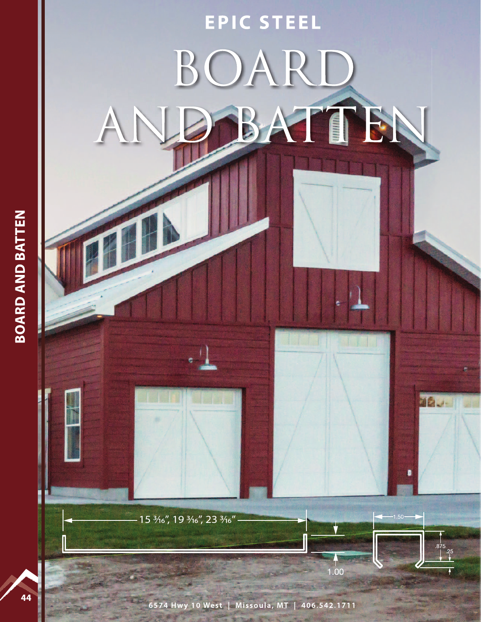

6574 Hwy 10 West | Missoula, MT | 406.542.1711